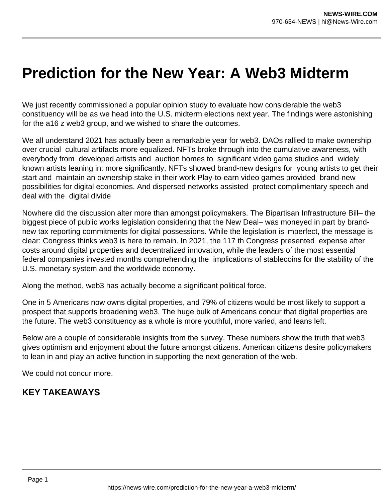# **Prediction for the New Year: A Web3 Midterm**

We just recently commissioned a popular opinion study to evaluate how considerable the web3 constituency will be as we head into the U.S. midterm elections next year. The findings were astonishing for the a16 z web3 group, and we wished to share the outcomes.

We all understand 2021 has actually been a remarkable year for web3. DAOs rallied to make ownership over crucial cultural artifacts more equalized. NFTs broke through into the cumulative awareness, with everybody from developed artists and auction homes to significant video game studios and widely known artists leaning in; more significantly, NFTs showed brand-new designs for young artists to get their start and maintain an ownership stake in their work Play-to-earn video games provided brand-new possibilities for digital economies. And dispersed networks assisted protect complimentary speech and deal with the digital divide

Nowhere did the discussion alter more than amongst policymakers. The Bipartisan Infrastructure Bill– the biggest piece of public works legislation considering that the New Deal– was moneyed in part by brandnew tax reporting commitments for digital possessions. While the legislation is imperfect, the message is clear: Congress thinks web3 is here to remain. In 2021, the 117 th Congress presented expense after costs around digital properties and decentralized innovation, while the leaders of the most essential federal companies invested months comprehending the implications of stablecoins for the stability of the U.S. monetary system and the worldwide economy.

Along the method, web3 has actually become a significant political force.

One in 5 Americans now owns digital properties, and 79% of citizens would be most likely to support a prospect that supports broadening web3. The huge bulk of Americans concur that digital properties are the future. The web3 constituency as a whole is more youthful, more varied, and leans left.

Below are a couple of considerable insights from the survey. These numbers show the truth that web3 gives optimism and enjoyment about the future amongst citizens. American citizens desire policymakers to lean in and play an active function in supporting the next generation of the web.

We could not concur more.

## **KEY TAKEAWAYS**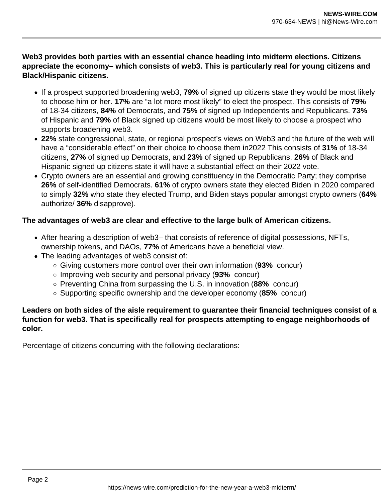**Web3 provides both parties with an essential chance heading into midterm elections. Citizens appreciate the economy– which consists of web3. This is particularly real for young citizens and Black/Hispanic citizens.**

- If a prospect supported broadening web3, **79%** of signed up citizens state they would be most likely to choose him or her. **17%** are "a lot more most likely" to elect the prospect. This consists of **79%** of 18-34 citizens, **84%** of Democrats, and **75%** of signed up Independents and Republicans. **73%** of Hispanic and **79%** of Black signed up citizens would be most likely to choose a prospect who supports broadening web3.
- **22%** state congressional, state, or regional prospect's views on Web3 and the future of the web will have a "considerable effect" on their choice to choose them in2022 This consists of **31%** of 18-34 citizens, **27%** of signed up Democrats, and **23%** of signed up Republicans. **26%** of Black and Hispanic signed up citizens state it will have a substantial effect on their 2022 vote.
- Crypto owners are an essential and growing constituency in the Democratic Party; they comprise **26%** of self-identified Democrats. **61%** of crypto owners state they elected Biden in 2020 compared to simply **32%** who state they elected Trump, and Biden stays popular amongst crypto owners (**64%** authorize/ **36%** disapprove).

### **The advantages of web3 are clear and effective to the large bulk of American citizens.**

- After hearing a description of web3– that consists of reference of digital possessions, NFTs, ownership tokens, and DAOs, **77%** of Americans have a beneficial view.
- The leading advantages of web3 consist of:
	- Giving customers more control over their own information (**93%** concur)
	- Improving web security and personal privacy (**93%** concur)
	- Preventing China from surpassing the U.S. in innovation (**88%** concur)
	- Supporting specific ownership and the developer economy (**85%** concur)

#### **Leaders on both sides of the aisle requirement to guarantee their financial techniques consist of a function for web3. That is specifically real for prospects attempting to engage neighborhoods of color.**

Percentage of citizens concurring with the following declarations: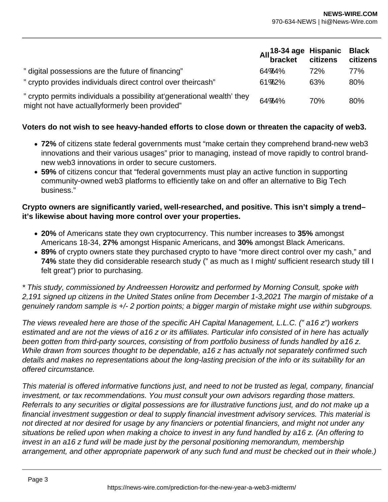|                                                                                                                            | All <sup>18-34</sup> age Hispanic Black<br>bracket citizens citizens |     |     |
|----------------------------------------------------------------------------------------------------------------------------|----------------------------------------------------------------------|-----|-----|
| " digital possessions are the future of financing"                                                                         | 64%74%                                                               | 72% | 77% |
| " crypto provides individuals direct control over theircash"                                                               | $61\%2\%$                                                            | 63% | 80% |
| " crypto permits individuals a possibility at generational wealth' they<br>might not have actually formerly been provided" | 64%74%                                                               | 70% | 80% |

#### **Voters do not wish to see heavy-handed efforts to close down or threaten the capacity of web3.**

- **72%** of citizens state federal governments must "make certain they comprehend brand-new web3 innovations and their various usages" prior to managing, instead of move rapidly to control brandnew web3 innovations in order to secure customers.
- **59%** of citizens concur that "federal governments must play an active function in supporting community-owned web3 platforms to efficiently take on and offer an alternative to Big Tech business."

#### **Crypto owners are significantly varied, well-researched, and positive. This isn't simply a trend– it's likewise about having more control over your properties.**

- **20%** of Americans state they own cryptocurrency. This number increases to **35%** amongst Americans 18-34, **27%** amongst Hispanic Americans, and **30%** amongst Black Americans.
- **89%** of crypto owners state they purchased crypto to have "more direct control over my cash," and **74%** state they did considerable research study (" as much as I might/ sufficient research study till I felt great") prior to purchasing.

\* This study, commissioned by Andreessen Horowitz and performed by Morning Consult, spoke with 2,191 signed up citizens in the United States online from December 1-3,2021 The margin of mistake of a genuinely random sample is +/- 2 portion points; a bigger margin of mistake might use within subgroups.

The views revealed here are those of the specific AH Capital Management, L.L.C. (" a16 z") workers estimated and are not the views of a16 z or its affiliates. Particular info consisted of in here has actually been gotten from third-party sources, consisting of from portfolio business of funds handled by a16 z. While drawn from sources thought to be dependable, a16 z has actually not separately confirmed such details and makes no representations about the long-lasting precision of the info or its suitability for an offered circumstance.

This material is offered informative functions just, and need to not be trusted as legal, company, financial investment, or tax recommendations. You must consult your own advisors regarding those matters. Referrals to any securities or digital possessions are for illustrative functions just, and do not make up a financial investment suggestion or deal to supply financial investment advisory services. This material is not directed at nor desired for usage by any financiers or potential financiers, and might not under any situations be relied upon when making a choice to invest in any fund handled by a16 z. (An offering to invest in an a16 z fund will be made just by the personal positioning memorandum, membership arrangement, and other appropriate paperwork of any such fund and must be checked out in their whole.)